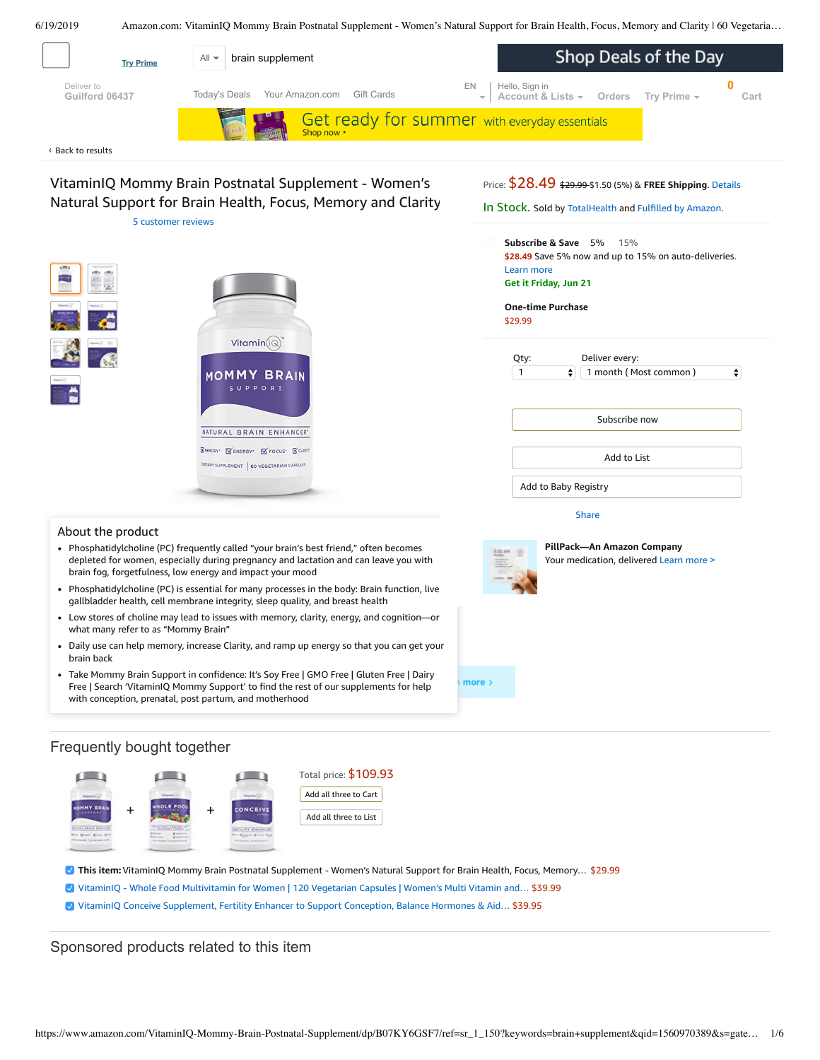<span id="page-0-0"></span>

- Low stores of choline may lead to issues with memory, clarity, energy, and cognition—or  $\bullet$ what many refer to as "Mommy Brain"
- Daily use can help memory, increase Clarity, and ramp up energy so that you can get your brain back
- Take Mommy Brain Support in confidence: It's Soy Free | GMO Free | Gluten Free | Dairy Free | Search 'VitaminIQ Mommy Support' to find the rest of our [supplements](https://www.amazon.com/gp/redirect.html/ref=amb_link_1?_encoding=UTF8&location=https%3A%2F%2Fwww.amazon.com%2Fstores%2Fpage%2F5C6C0A16-CE60-4998-B799-A746AE18E19B%3Fchannel%3Dproduct_alert_v1&source=standards&token=725A568E064D46CFD215073B2EAF8C86121FB501&pf_rd_m=ATVPDKIKX0DER&pf_rd_s=product-alert&pf_rd_r=MVDC152MQ5XQABJETS2P&pf_rd_r=MVDC152MQ5XQABJETS2P&pf_rd_t=201&pf_rd_p=5ccb7e8b-1cdb-4056-8a8c-bdea3462f1a9&pf_rd_p=5ccb7e8b-1cdb-4056-8a8c-bdea3462f1a9&pf_rd_i=B07KY6GSF7) for help with conception, prenatal, post partum, and motherhood

## Frequently bought together



- **This item:**VitaminIQ Mommy Brain Postnatal Supplement Women's Natural Support for Brain Health, Focus, Memory… \$29.99
- VitaminIQ Whole Food [Multivitamin](https://www.amazon.com/VitaminIQ-Multivitamin-Metabolism-Digestive-Vegetarian/dp/B07KX5FXNQ/ref=pd_bxgy_121_2/143-6729050-3493109?_encoding=UTF8&pd_rd_i=B07KX5FXNQ&pd_rd_r=0d66b244-92c4-11e9-b7b9-a5c076142822&pd_rd_w=ak8MQ&pd_rd_wg=5cRio&pf_rd_p=a2006322-0bc0-4db9-a08e-d168c18ce6f0&pf_rd_r=MVDC152MQ5XQABJETS2P&psc=1&refRID=MVDC152MQ5XQABJETS2P) for Women | 120 Vegetarian Capsules | Women's Multi Vitamin and… \$39.99
- VitaminIQ Conceive [Supplement,](https://www.amazon.com/VitaminIQ-Supplement-Conception-Myo-Inosito-Vegetarian/dp/B07KYFV9V1/ref=pd_bxgy_121_3/143-6729050-3493109?_encoding=UTF8&pd_rd_i=B07KYFV9V1&pd_rd_r=0d66b244-92c4-11e9-b7b9-a5c076142822&pd_rd_w=ak8MQ&pd_rd_wg=5cRio&pf_rd_p=a2006322-0bc0-4db9-a08e-d168c18ce6f0&pf_rd_r=MVDC152MQ5XQABJETS2P&psc=1&refRID=MVDC152MQ5XQABJETS2P) Fertility Enhancer to Support Conception, Balance Hormones & Aid… \$39.95

# Sponsored products related to this item

 $more$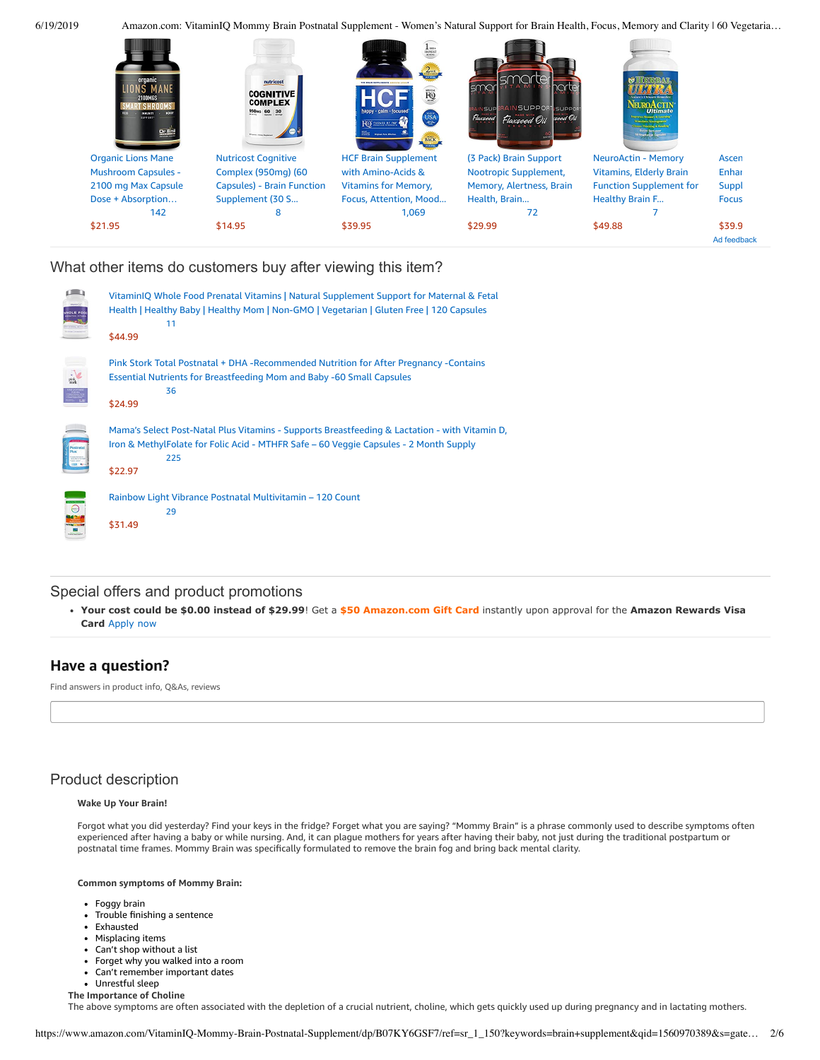6/19/2019 Amazon.com: VitaminIQ Mommy Brain Postnatal Supplement - Women's Natural Support for Brain Health, Focus, Memory and Clarity | 60 Vegetaria…



# What other items do customers buy after viewing this item?

|      | VitaminIQ Whole Food Prenatal Vitamins   Natural Supplement Support for Maternal & Fetal<br>Health   Healthy Baby   Healthy Mom   Non-GMO   Vegetarian   Gluten Free   120 Capsules<br>11<br>\$44.99     |
|------|----------------------------------------------------------------------------------------------------------------------------------------------------------------------------------------------------------|
| pink | Pink Stork Total Postnatal + DHA -Recommended Nutrition for After Pregnancy -Contains<br><b>Essential Nutrients for Breastfeeding Mom and Baby -60 Small Capsules</b><br>36<br>\$24.99                   |
|      | Mama's Select Post-Natal Plus Vitamins - Supports Breastfeeding & Lactation - with Vitamin D,<br>Iron & MethylFolate for Folic Acid - MTHFR Safe - 60 Veggie Capsules - 2 Month Supply<br>225<br>\$22.97 |
|      | Rainbow Light Vibrance Postnatal Multivitamin – 120 Count<br>29<br>\$31.49                                                                                                                               |

## Special offers and product promotions

**[Your cost could be \\$0.00 instead of \\$29.99](https://www.amazon.com/gp/cobrandcard/marketing.html?pr=con321&inc=50gcUnrec&ts=e962xec2iudcr2a3e238hictnaszszv&dasin=B07KY6GSF7&plattr=math&place=detailpage&imp=bdda9a70-f2ca-4106-840e-975ad78a82ab)**! Get a **\$50 Amazon.com Gift Card** instantly upon approval for the **Amazon Rewards Visa Card** Apply now

# **Have a question?**

Find answers in product info, Q&As, reviews

# Product description

#### **Wake Up Your Brain!**

Forgot what you did yesterday? Find your keys in the fridge? Forget what you are saying? "Mommy Brain" is a phrase commonly used to describe symptoms often experienced after having a baby or while nursing. And, it can plague mothers for years after having their baby, not just during the traditional postpartum or postnatal time frames. Mommy Brain was specifically formulated to remove the brain fog and bring back mental clarity.

### **Common symptoms of Mommy Brain:**

- Foggy brain
- Trouble finishing a sentence
- $\bullet$ Exhausted
- $\bullet$ Misplacing items
- Can't shop without a list
- Forget why you walked into a room
- Can't remember important dates
- Unrestful sleep
- **The Importance of Choline**

The above symptoms are often associated with the depletion of a crucial nutrient, choline, which gets quickly used up during pregnancy and in lactating mothers.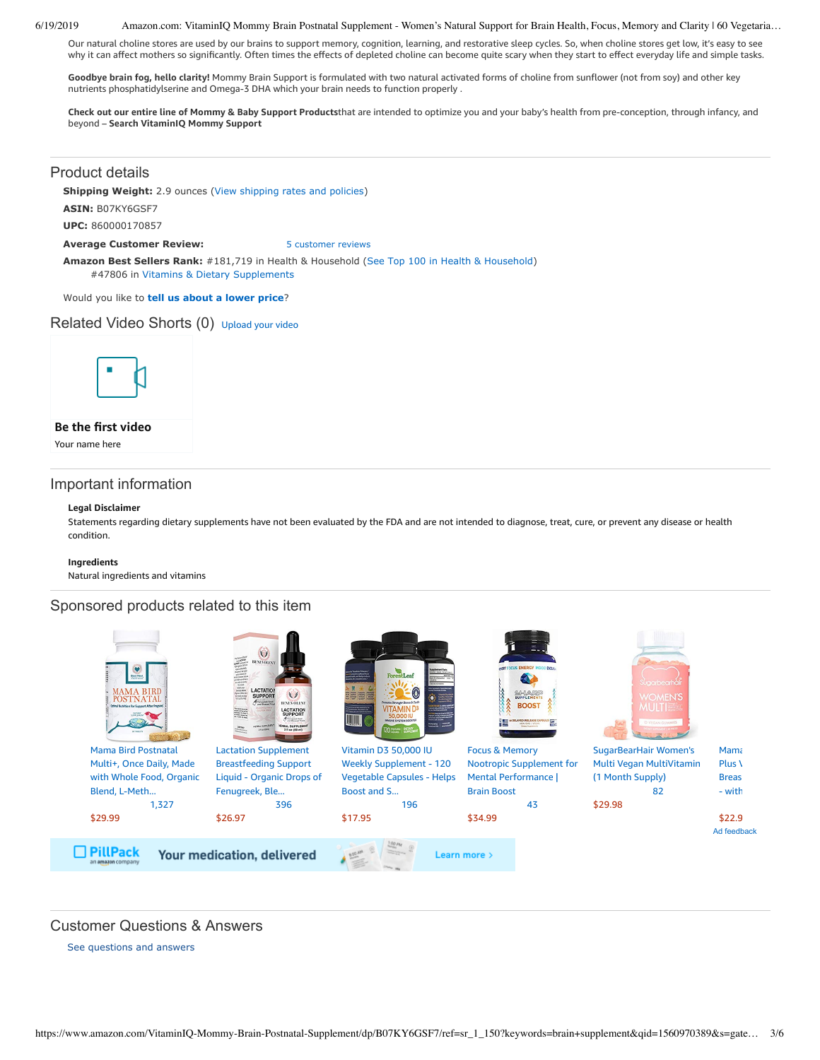#### 6/19/2019 Amazon.com: VitaminIQ Mommy Brain Postnatal Supplement - Women's Natural Support for Brain Health, Focus, Memory and Clarity | 60 Vegetaria…

Our natural choline stores are used by our brains to support memory, cognition, learning, and restorative sleep cycles. So, when choline stores get low, it's easy to see why it can affect mothers so significantly. Often times the effects of depleted choline can become quite scary when they start to effect everyday life and simple tasks.

**Goodbye brain fog, hello clarity!** Mommy Brain Support is formulated with two natural activated forms of choline from sunflower (not from soy) and other key nutrients phosphatidylserine and Omega-3 DHA which your brain needs to function properly .

Check out our entire line of Mommy & Baby Support Productsthat are intended to optimize you and your baby's health from pre-conception, through infancy, and beyond – **Search VitaminIQ Mommy Support**

### Product details

**Shipping Weight:** 2.9 ounces [\(View shipping rates and policies\)](https://www.amazon.com/gp/help/seller/shipping.html/ref=dp_pd_shipping?ie=UTF8&asin=B07KY6GSF7&seller=ATVPDKIKX0DER)

**ASIN:** B07KY6GSF7

**UPC:** 860000170857

**Average Customer Review:** [5 customer reviews](https://www.amazon.com/product-reviews/B07KY6GSF7/ref=acr_dpproductdetail_text?ie=UTF8&showViewpoints=1)

**Amazon Best Sellers Rank:** #181,719 in Health & Household [\(See Top 100 in Health & Household](https://www.amazon.com/gp/bestsellers/hpc/ref=pd_zg_ts_hpc)) #47806 in [Vitamins & Dietary Supplements](https://www.amazon.com/gp/bestsellers/hpc/3764441/ref=pd_zg_hrsr_hpc)

Would you like to **tell us about a lower price**?

## Related Video Shorts (0) [Upload](https://www.amazon.com/creatorhub/video/upload?productASIN=B07KY6GSF7&referringURL=ZHAvQjA3S1k2R1NGNw%3D%3D&ref=RVSW) your video



## **Be the first video**

Your name here

## Important information

#### **Legal Disclaimer**

Statements regarding dietary supplements have not been evaluated by the FDA and are not intended to diagnose, treat, cure, or prevent any disease or health condition.

#### **Ingredients**

Natural ingredients and vitamins

## Sponsored products related to this item



## Customer Questions & Answers

[See questions and answers](https://www.amazon.com/ask/questions/asin/B07KY6GSF7/ref=cm_cd_dp_lla_ql_ll)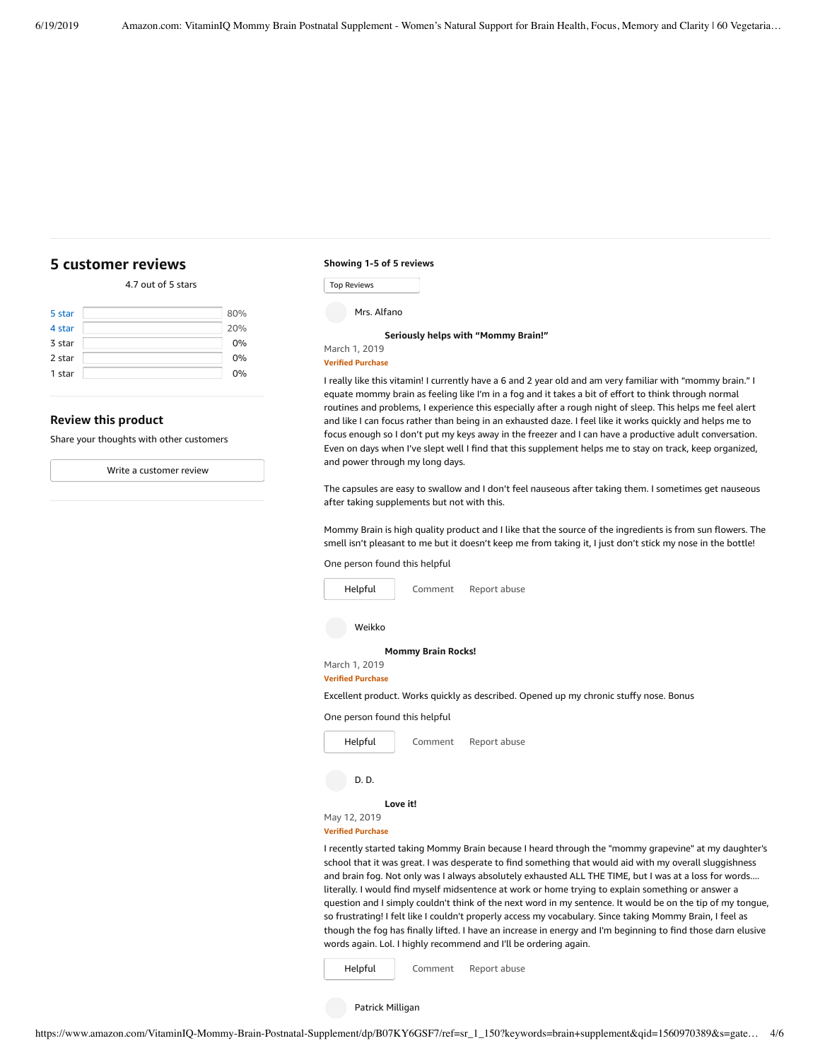# <span id="page-3-0"></span>**[5 customer](https://www.amazon.com/VitaminIQ-Mommy-Brain-Postnatal-Supplement/product-reviews/B07KY6GSF7/ref=cm_cr_dp_d_show_all_top?ie=UTF8&reviewerType=all_reviews) reviews**

### 4.7 out of 5 [stars](javascript:void(0))

| 80% |
|-----|
| 20% |
| 0%  |
| 0%  |
| 0%  |
|     |

### **Review this product**

Share your thoughts with other customers

Write a [customer](https://www.amazon.com/review/create-review/ref=cm_cr_dp_d_wr_but_top?ie=UTF8&channel=glance-detail&asin=B07KY6GSF7) review

#### **Showing 1-5 of 5 reviews**

| <b>Top Reviews</b> |  |
|--------------------|--|
|                    |  |

#### **[Seriously](https://www.amazon.com/gp/customer-reviews/R2IHDV6BCRAU8U/ref=cm_cr_dp_d_rvw_ttl?ie=UTF8&ASIN=B07KY6GSF7) helps with "Mommy Brain!"**

March 1, 2019

**Verified Purchase**

I really like this vitamin! I currently have a 6 and 2 year old and am very familiar with "mommy brain." I equate mommy brain as feeling like I'm in a fog and it takes a bit of effort to think through normal routines and problems, I experience this especially after a rough night of sleep. This helps me feel alert and like I can focus rather than being in an exhausted daze. I feel like it works quickly and helps me to focus enough so I don't put my keys away in the freezer and I can have a productive adult conversation. Even on days when I've slept well I find that this supplement helps me to stay on track, keep organized, and power through my long days.

The capsules are easy to swallow and I don't feel nauseous after taking them. I sometimes get nauseous after taking supplements but not with this.

Mommy Brain is high quality product and I like that the source of the ingredients is from sun flowers. The smell isn't pleasant to me but it doesn't keep me from taking it, I just don't stick my nose in the bottle!

#### One person found this helpful

| Helpful                                   | Comment                   | Report abuse                                                                                                                                                                                                    |
|-------------------------------------------|---------------------------|-----------------------------------------------------------------------------------------------------------------------------------------------------------------------------------------------------------------|
| Weikko                                    |                           |                                                                                                                                                                                                                 |
|                                           | <b>Mommy Brain Rocks!</b> |                                                                                                                                                                                                                 |
| March 1, 2019<br><b>Verified Purchase</b> |                           |                                                                                                                                                                                                                 |
|                                           |                           | Excellent product. Works quickly as described. Opened up my chronic stuffy nose. Bonus                                                                                                                          |
| One person found this helpful             |                           |                                                                                                                                                                                                                 |
| Helpful                                   | Comment                   | Report abuse                                                                                                                                                                                                    |
| D. D.                                     |                           |                                                                                                                                                                                                                 |
|                                           | Love it!                  |                                                                                                                                                                                                                 |
| May 12, 2019                              |                           |                                                                                                                                                                                                                 |
| <b>Verified Purchase</b>                  |                           |                                                                                                                                                                                                                 |
|                                           |                           | I recently started taking Mommy Brain because I heard through the "mommy grapevine" at my daughter's<br>school that it was great. I was desperate to find something that would aid with my overall sluggishness |

y overall sluggishness and brain fog. Not only was I always absolutely exhausted ALL THE TIME, but I was at a loss for words.... literally. I would find myself midsentence at work or home trying to explain something or answer a question and I simply couldn't think of the next word in my sentence. It would be on the tip of my tongue, so frustrating! I felt like I couldn't properly access my vocabulary. Since taking Mommy Brain, I feel as though the fog has finally lifted. I have an increase in energy and I'm beginning to find those darn elusive words again. Lol. I highly recommend and I'll be ordering again.

[Comment](https://www.amazon.com/gp/customer-reviews/R2OAL3CFBU76SN/ref=cm_cr_dp_d_rvw_btm?ie=UTF8&ASIN=B07KY6GSF7#wasThisHelpful) [Report](https://www.amazon.com/hz/reviews-render/report-abuse?ie=UTF8&voteDomain=Reviews&ref=cm_cr_dp_d_rvw_hlp&csrfT=gp8cFdTOLtNMfJBscs1JoMtVL24ieVtIj9W4d0wAAAABAAAAAF0KhYpyYXcAAAAA%2B4kUEk%2F7iMGR3xPcX6iU&entityId=R2OAL3CFBU76SN&sessionId=143-6729050-3493109) abuse [Helpful](https://www.amazon.com/ap/signin?openid.return_to=https%3A%2F%2Fwww.amazon.com%2Fdp%2FB07KY6GSF7%2Fref%3Dcm_cr_dp_d_vote_lft%3Fie%3DUTF8%26voteInstanceId%3DR2OAL3CFBU76SN%26voteValue%3D1%26csrfT%3Dgp8cFdTOLtNMfJBscs1JoMtVL24ieVtIj9W4d0wAAAABAAAAAF0KhYpyYXcAAAAA%252B4kUEk%252F7iMGR3xPcX6iU%23R2OAL3CFBU76SN&openid.identity=http%3A%2F%2Fspecs.openid.net%2Fauth%2F2.0%2Fidentifier_select&openid.claimed_id=http%3A%2F%2Fspecs.openid.net%2Fauth%2F2.0%2Fidentifier_select&openid.assoc_handle=usflex&openid.mode=checkid_setup&openid.ns=http%3A%2F%2Fspecs.openid.net%2Fauth%2F2.0)

Patrick Milligan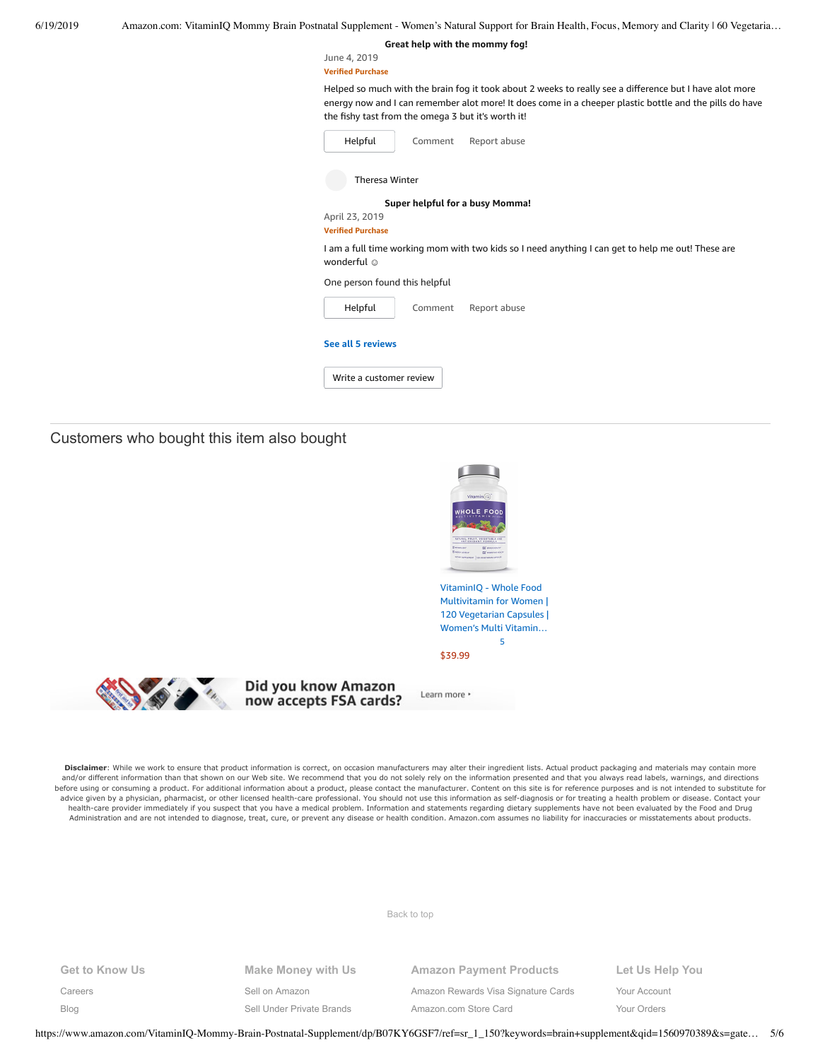| 6/19/2019 |  |  | Amazon.com: VitaminIO Mommy Brain Postnatal Supplement - Women's Natural Support for Brain Health, Focus, Memory and Clarity   60 Vegetaria |  |  |
|-----------|--|--|---------------------------------------------------------------------------------------------------------------------------------------------|--|--|
|           |  |  |                                                                                                                                             |  |  |

**Great help with the [mommy](https://www.amazon.com/gp/customer-reviews/R252SIL50L2JUW/ref=cm_cr_dp_d_rvw_ttl?ie=UTF8&ASIN=B07KY6GSF7) fog!**

June 4, 2019 **Verified Purchase**

Helped so much with the brain fog it took about 2 weeks to really see a difference but I have alot more energy now and I can remember alot more! It does come in a cheeper plastic bottle and the pills do have the fishy tast from the omega 3 but it's worth it!

| Helpful                                                 | Comment | Report abuse                                                                                      |
|---------------------------------------------------------|---------|---------------------------------------------------------------------------------------------------|
| <b>Theresa Winter</b>                                   |         |                                                                                                   |
|                                                         |         | Super helpful for a busy Momma!                                                                   |
| April 23, 2019                                          |         |                                                                                                   |
| <b>Verified Purchase</b>                                |         |                                                                                                   |
|                                                         |         | I am a full time working mom with two kids so I need anything I can get to help me out! These are |
|                                                         |         |                                                                                                   |
| wonderful ©<br>One person found this helpful<br>Helpful | Comment | Report abuse                                                                                      |
| See all 5 reviews                                       |         |                                                                                                   |

Customers who bought this item also bought



Disclaimer: While we work to ensure that product information is correct, on occasion manufacturers may alter their ingredient lists. Actual product packaging and materials may contain more and/or different information than that shown on our Web site. We recommend that you do not solely rely on the information presented and that you always read labels, warnings, and directions before using or consuming a product. For additional information about a product, please contact the manufacturer. Content on this site is for reference purposes and is not intended to substitute for advice given by a physician, pharmacist, or other licensed health-care professional. You should not use this information as self-diagnosis or for treating a health problem or disease. Contact your health-care provider immediately if you suspect that you have a medical problem. Information and statements regarding dietary supplements have not been evaluated by the Food and Drug Administration and are not intended to diagnose, treat, cure, or prevent any disease or health condition. Amazon.com assumes no liability for inaccuracies or misstatements about products.

[Back to top](#page-0-0)

**Get to Know Us** [Careers](https://www.amazon.jobs/) [Blog](https://blog.aboutamazon.com/?utm_source=gateway&utm_medium=footer)

**Make Money with Us**

[Sell on Amazon](https://www.amazon.com/gp/redirect.html?_encoding=UTF8&location=https%3A%2F%2Fservices.amazon.com%2Fcontent%2Fsell-on-amazon.htm%2Fref%3Dfooter_soa%3Fld%3DAZFSSOA%26ref_%3Dfooter_soa&source=standards&token=1CC2E60AAEEFD9613C04037E8F5AFD0F4D90DC5B)

[Sell Under Private Brands](https://www.amazon.com/l/ref=map_1_b2b_GW_FT?node=17882322011) [Amazon Rewards Visa Signature Cards](https://www.amazon.com/iss/credit/rewardscardmember?_encoding=UTF8&plattr=CBFOOT&ref_=footer_cbcc) [Amazon.com Store Card](https://www.amazon.com/iss/credit/storecardmember?_encoding=UTF8&plattr=PLCCFOOT&ref_=footer_plcc)

**Amazon Payment Products**

**Let Us Help You** [Your Account](https://www.amazon.com/gp/css/homepage.html?ie=UTF8&ref_=footer_ya) [Your Orders](https://www.amazon.com/gp/css/order-history?ie=UTF8&ref_=footer_yo)

https://www.amazon.com/VitaminIQ-Mommy-Brain-Postnatal-Supplement/dp/B07KY6GSF7/ref=sr\_1\_150?keywords=brain+supplement&qid=1560970389&s=gate… 5/6